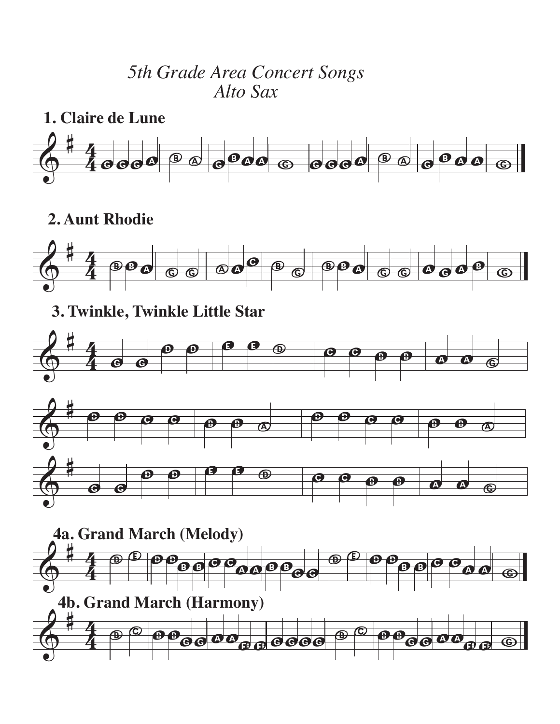## *5th Grade Area Concert Songs Alto Sax*



## **2. Aunt Rhodie**



## **3. Twinkle, Twinkle Little Star**